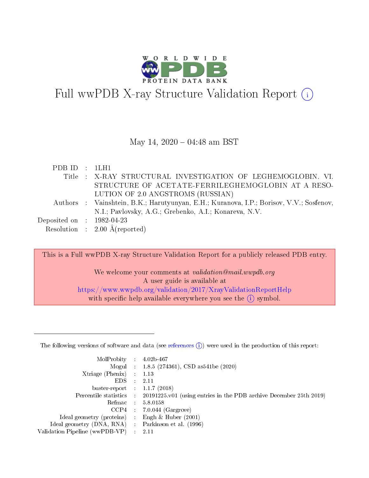

# Full wwPDB X-ray Structure Validation Report  $(i)$

#### May 14,  $2020 - 04:48$  am BST

| PDB ID : 1LH1               |                                                                                         |
|-----------------------------|-----------------------------------------------------------------------------------------|
|                             | Title: X-RAY STRUCTURAL INVESTIGATION OF LEGHEMOGLOBIN. VI.                             |
|                             | STRUCTURE OF ACETATE-FERRILEGHEMOGLOBIN AT A RESO-                                      |
|                             | LUTION OF 2.0 ANGSTROMS (RUSSIAN)                                                       |
|                             | Authors : Vainshtein, B.K.; Harutyunyan, E.H.; Kuranova, I.P.; Borisov, V.V.; Sosfenov, |
|                             | N.I.; Pavlovsky, A.G.; Grebenko, A.I.; Konareva, N.V.                                   |
| Deposited on : $1982-04-23$ |                                                                                         |
|                             | Resolution : $2.00 \text{ Å}$ (reported)                                                |

This is a Full wwPDB X-ray Structure Validation Report for a publicly released PDB entry.

We welcome your comments at *validation@mail.wwpdb.org* A user guide is available at <https://www.wwpdb.org/validation/2017/XrayValidationReportHelp> with specific help available everywhere you see the  $(i)$  symbol.

The following versions of software and data (see [references](https://www.wwpdb.org/validation/2017/XrayValidationReportHelp#references)  $(1)$ ) were used in the production of this report:

| MolProbity :                   |               | $4.02b - 467$                                                               |
|--------------------------------|---------------|-----------------------------------------------------------------------------|
|                                |               | Mogul : $1.8.5$ (274361), CSD as 541be (2020)                               |
| $X$ triage (Phenix) :          |               | 1.13                                                                        |
| EDS.                           |               | 2.11                                                                        |
| buster-report : $1.1.7$ (2018) |               |                                                                             |
| Percentile statistics :        |               | $20191225 \text{v}01$ (using entries in the PDB archive December 25th 2019) |
| Refmac :                       |               | 5.8.0158                                                                    |
| $CCP4$ :                       |               | $7.0.044$ (Gargrove)                                                        |
| Ideal geometry (proteins) :    |               | Engh $\&$ Huber (2001)                                                      |
| Ideal geometry (DNA, RNA) :    |               | Parkinson et al. (1996)                                                     |
| Validation Pipeline (wwPDB-VP) | $\mathcal{L}$ | 2.11                                                                        |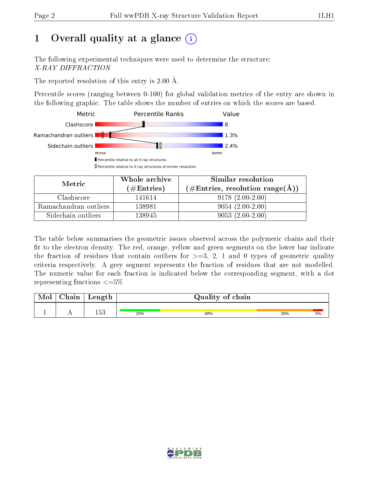# 1 [O](https://www.wwpdb.org/validation/2017/XrayValidationReportHelp#overall_quality)verall quality at a glance  $(i)$

The following experimental techniques were used to determine the structure: X-RAY DIFFRACTION

The reported resolution of this entry is 2.00 Å.

Percentile scores (ranging between 0-100) for global validation metrics of the entry are shown in the following graphic. The table shows the number of entries on which the scores are based.



| Metric                | Whole archive        | Similar resolution                                         |
|-----------------------|----------------------|------------------------------------------------------------|
|                       | $(\#\text{Entries})$ | $(\#\text{Entries}, \text{resolution range}(\text{\AA}) )$ |
| Clashscore            | 141614               | $9178(2.00-2.00)$                                          |
| Ramachandran outliers | 138981               | $9054(2.00-2.00)$                                          |
| Sidechain outliers    | 138945               | $9053(2.00-2.00)$                                          |

The table below summarises the geometric issues observed across the polymeric chains and their fit to the electron density. The red, orange, yellow and green segments on the lower bar indicate the fraction of residues that contain outliers for  $\geq=3$ , 2, 1 and 0 types of geometric quality criteria respectively. A grey segment represents the fraction of residues that are not modelled. The numeric value for each fraction is indicated below the corresponding segment, with a dot representing fractions  $\leq=5\%$ 

| Mol | Chain | Length | Quality of chain |     |     |    |
|-----|-------|--------|------------------|-----|-----|----|
|     |       | 153    | 20%              | 48% | 28% | 5% |

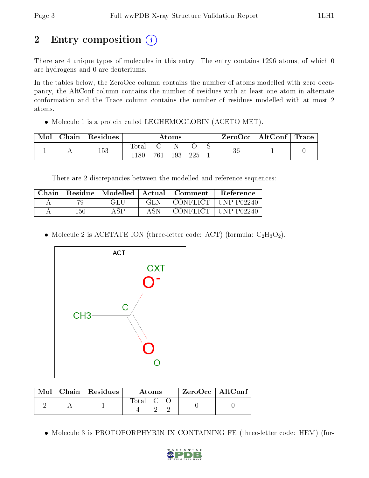# 2 Entry composition (i)

There are 4 unique types of molecules in this entry. The entry contains 1296 atoms, of which 0 are hydrogens and 0 are deuteriums.

In the tables below, the ZeroOcc column contains the number of atoms modelled with zero occupancy, the AltConf column contains the number of residues with at least one atom in alternate conformation and the Trace column contains the number of residues modelled with at most 2 atoms.

• Molecule 1 is a protein called LEGHEMOGLOBIN (ACETO MET).

| Mol | Chain   Residues | $\rm{Atoms}$                 |       |     |     | ZeroOcc   AltConf   Trace |    |  |  |
|-----|------------------|------------------------------|-------|-----|-----|---------------------------|----|--|--|
|     | 153              | $\mathrm{Total}$<br>$1180\,$ | 761 - | 193 | 225 |                           | 36 |  |  |

There are 2 discrepancies between the modelled and reference sequences:

| Chain | Residue | Modelled | Actual | Comment    | <b>Reference</b>  |
|-------|---------|----------|--------|------------|-------------------|
|       |         | GLU      | GL N   | CONFLICT . | <b>UNP P02240</b> |
|       | 150     | A QD     | A SN   | CONFLICT + | ∣ UNP P02240      |

• Molecule 2 is ACETATE ION (three-letter code: ACT) (formula:  $C_2H_3O_2$ ).



| Mol | Chain   Residues | <b>Atoms</b> |  | ZeroOcc   AltConf |
|-----|------------------|--------------|--|-------------------|
|     |                  | Total C      |  |                   |

Molecule 3 is PROTOPORPHYRIN IX CONTAINING FE (three-letter code: HEM) (for-

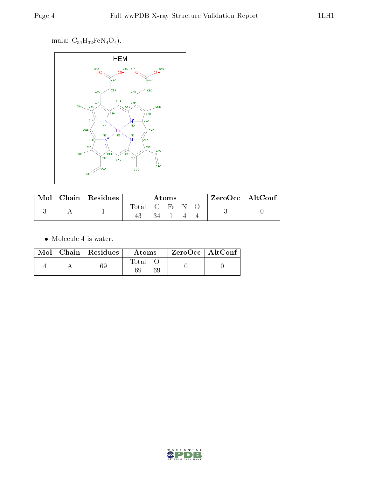mula:  $C_{34}H_{32}FeN_4O_4$ .



| Mol | $Chain$ Residues |       |                    | Atoms    |  | ZeroOcc   AltConf |
|-----|------------------|-------|--------------------|----------|--|-------------------|
|     |                  | Fotal | $\cdot$ (1 $\cdot$ | $H \rho$ |  |                   |

 $\bullet\,$  Molecule 4 is water.

|  | $\text{Mol}$   Chain   Residues | Atoms       | ZeroOcc   AltConf |  |
|--|---------------------------------|-------------|-------------------|--|
|  |                                 | Total<br>69 |                   |  |

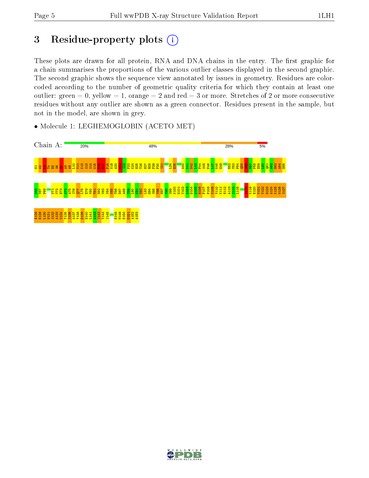# 3 Residue-property plots (i)

These plots are drawn for all protein, RNA and DNA chains in the entry. The first graphic for a chain summarises the proportions of the various outlier classes displayed in the second graphic. The second graphic shows the sequence view annotated by issues in geometry. Residues are colorcoded according to the number of geometric quality criteria for which they contain at least one outlier: green  $= 0$ , yellow  $= 1$ , orange  $= 2$  and red  $= 3$  or more. Stretches of 2 or more consecutive residues without any outlier are shown as a green connector. Residues present in the sample, but not in the model, are shown in grey.



• Molecule 1: LEGHEMOGLOBIN (ACETO MET)

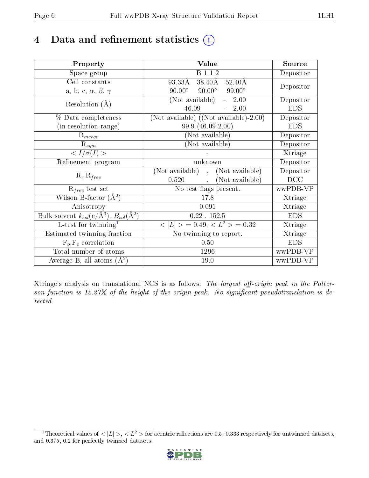# 4 Data and refinement statistics  $(i)$

| Property                                                             | Value                                              | Source     |
|----------------------------------------------------------------------|----------------------------------------------------|------------|
| Space group                                                          | <b>B</b> 1 1 2                                     | Depositor  |
| Cell constants                                                       | 38.40Å<br>93.33Å<br>$52.40\text{\AA}$              |            |
| a, b, c, $\alpha$ , $\beta$ , $\gamma$                               | $90.00^{\circ}$ $90.00^{\circ}$<br>$99.00^{\circ}$ | Depositor  |
| Resolution $(A)$                                                     | (Not available)<br>$-2.00$                         | Depositor  |
|                                                                      | 46.09<br>2.00                                      | <b>EDS</b> |
| % Data completeness                                                  | (Not available) $((Not available)-2.00)$           | Depositor  |
| (in resolution range)                                                | 99.9 (46.09-2.00)                                  | <b>EDS</b> |
| $R_{merge}$                                                          | (Not available)                                    | Depositor  |
| $\mathrm{R}_{sym}$                                                   | (Not available)                                    | Depositor  |
| $\langle I/\sigma(I)\rangle$                                         |                                                    | Xtriage    |
| Refinement program                                                   | unknown                                            | Depositor  |
| $R, R_{free}$                                                        | (Not available), (Not available)                   | Depositor  |
|                                                                      | (Not available)<br>0.520<br>$\overline{a}$         | DCC        |
| $R_{free}$ test set                                                  | No test flags present.                             | wwPDB-VP   |
| Wilson B-factor $(A^2)$                                              | 17.8                                               | Xtriage    |
| Anisotropy                                                           | 0.091                                              | Xtriage    |
| Bulk solvent $k_{sol}(e/\mathring{A}^3)$ , $B_{sol}(\mathring{A}^2)$ | 0.22, 152.5                                        | <b>EDS</b> |
| L-test for twinning $1$                                              | $< L >$ = 0.49, $< L2$ > = 0.32                    | Xtriage    |
| Estimated twinning fraction                                          | No twinning to report.                             | Xtriage    |
| $F_o, F_c$ correlation                                               | 0.50                                               | <b>EDS</b> |
| Total number of atoms                                                | 1296                                               | wwPDB-VP   |
| Average B, all atoms $(A^2)$                                         | 19.0                                               | wwPDB-VP   |

Xtriage's analysis on translational NCS is as follows: The largest off-origin peak in the Patterson function is  $12.27\%$  of the height of the origin peak. No significant pseudotranslation is detected.

<span id="page-5-0"></span><sup>&</sup>lt;sup>1</sup>Theoretical values of  $\langle |L| \rangle, \langle L^2 \rangle$  for acentric reflections are 0.5, 0.333 respectively for untwinned datasets, and 0.375, 0.2 for perfectly twinned datasets.

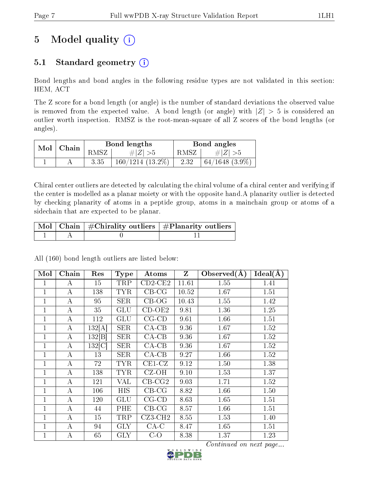# 5 Model quality  $(i)$

## 5.1 Standard geometry (i)

Bond lengths and bond angles in the following residue types are not validated in this section: HEM, ACT

The Z score for a bond length (or angle) is the number of standard deviations the observed value is removed from the expected value. A bond length (or angle) with  $|Z| > 5$  is considered an outlier worth inspection. RMSZ is the root-mean-square of all Z scores of the bond lengths (or angles).

| $Mol$   Chain |      | Bond lengths       | Bond angles |                     |  |
|---------------|------|--------------------|-------------|---------------------|--|
|               | RMSZ | # $ Z  > 5$        | RMSZ        | # Z  > 5            |  |
|               | 3.35 | $160/1214(13.2\%)$ | 2.32        | $64/1648$ $(3.9\%)$ |  |

Chiral center outliers are detected by calculating the chiral volume of a chiral center and verifying if the center is modelled as a planar moiety or with the opposite hand.A planarity outlier is detected by checking planarity of atoms in a peptide group, atoms in a mainchain group or atoms of a sidechain that are expected to be planar.

|  | Mol   Chain   $\#\text{Chirality outliers}$   $\#\text{Planarity outliers}$ |
|--|-----------------------------------------------------------------------------|
|  |                                                                             |

Mol Chain Res Type Atoms Z Observed( $\AA$ ) Ideal( $\AA$ ) 1 | A | 15 | TRP | CD2-CE2 | 11.61 | 1.55 | 1.41 1 | A | 138 | TYR | CB-CG | 10.52 | 1.67 | 1.51 1 | A | 95 | SER | CB-OG | 10.43 | 1.55 | 1.42 1 | A | 35 | GLU | CD-OE2 | 9.81 | 1.36 | 1.25 1 | A | 112 | GLU | CG-CD | 9.61 | 1.66 | 1.51 1 | A | 132[A] | SER | CA-CB | 9.36 | 1.67 | 1.52 1 | A | 132 | B | SER | CA-CB | 9.36 | 1.67 | 1.52 1 | A | 132[C] | SER | CA-CB | 9.36 | 1.67 | 1.52 1 | A | 13 | SER | CA-CB | 9.27 | 1.66 | 1.52 1 | A | 72 | TYR | CE1-CZ | 9.12 | 1.50 | 1.38 1 | A | 138 | TYR | CZ-OH | 9.10 | 1.53 | 1.37 1 | A | 121 | VAL | CB-CG2 | 9.03 | 1.71 | 1.52 1 | A | 106 | HIS | CB-CG | 8.82 | 1.66 | 1.50 1 | A | 120 | GLU | CG-CD | 8.63 | 1.65 | 1.51 1 | A | 44 | PHE | CB-CG | 8.57 | 1.66 | 1.51  $1 \mid A \mid 15 \mid \text{TRP} \mid \text{CZ3-CH2} \mid 8.55 \mid 1.53 \mid 1.40$ 1 | A | 94 | GLY | CA-C | 8.47 | 1.65 | 1.51 1 | A | 65 | GLY | C-O | 8.38 | 1.37 | 1.23

All (160) bond length outliers are listed below:

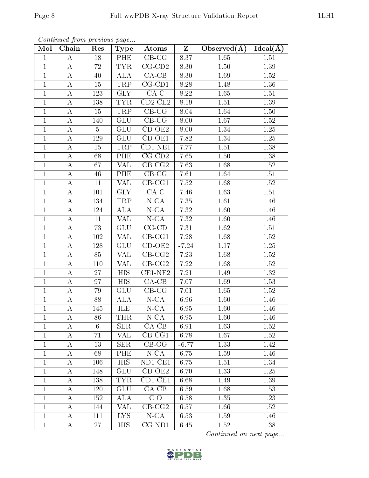| Continued from previous page |  |  |
|------------------------------|--|--|

| Mol            | Chain            | Res             | <b>Type</b>               | Atoms                      | $\mathbf{Z}$ | Observed $(A)$    | Ideal(A) |
|----------------|------------------|-----------------|---------------------------|----------------------------|--------------|-------------------|----------|
| $\mathbf{1}$   | $\bf{A}$         | 18              | PHE                       | $CB-CG$                    | 8.37         | 1.65              | 1.51     |
| $\mathbf{1}$   | A                | $72\,$          | <b>TYR</b>                | $CG$ - $CD2$               | 8.30         | 1.50              | 1.39     |
| $\mathbf{1}$   | $\boldsymbol{A}$ | 40              | <b>ALA</b>                | $CA-CB$                    | 8.30         | 1.69              | 1.52     |
| $\mathbf{1}$   | $\bf{A}$         | 15              | TRP                       | $CG$ - $CD1$               | 8.28         | 1.48              | 1.36     |
| $\mathbf{1}$   | $\bf{A}$         | 123             | ${\rm GLY}$               | $CA-C$                     | 8.22         | 1.65              | $1.51\,$ |
| $\mathbf 1$    | $\bf{A}$         | 138             | <b>TYR</b>                | $CD2-CE2$                  | 8.19         | 1.51              | 1.39     |
| $\mathbf{1}$   | $\boldsymbol{A}$ | 15              | TRP                       | $CB-CG$                    | 8.04         | 1.64              | 1.50     |
| $\mathbf{1}$   | A                | 140             | <b>GLU</b>                | $CB-CG$                    | 8.00         | 1.67              | 1.52     |
| $\mathbf{1}$   | $\bf{A}$         | 5               | <b>GLU</b>                | $CD-OE2$                   | 8.00         | 1.34              | 1.25     |
| $\mathbf{1}$   | $\bf{A}$         | <sup>129</sup>  | $\overline{GLU}$          | $\overline{\text{CD-OE1}}$ | 7.82         | 1.34              | $1.25\,$ |
| $\mathbf{1}$   | A                | 15              | TRP                       | $CD1-NE1$                  | 7.77         | 1.51              | 1.38     |
| $\mathbf{1}$   | $\bf{A}$         | 68              | PHE                       | $CG$ - $CD2$               | 7.65         | $1.50\,$          | $1.38\,$ |
| $\mathbf{1}$   | $\bf{A}$         | 67              | VAL                       | $CB-CG2$                   | 7.63         | 1.68              | 1.52     |
| $\mathbf{1}$   | $\bf{A}$         | 46              | PHE                       | $\overline{\text{CB-CG}}$  | 7.61         | $1.64\,$          | $1.51\,$ |
| $\overline{1}$ | $\bf{A}$         | 11              | $\overline{\text{VAL}}$   | $\overline{\text{CB-CG1}}$ | 7.52         | 1.68              | 1.52     |
| $\mathbf{1}$   | $\bf{A}$         | 101             | <b>GLY</b>                | $\overline{CA-C}$          | 7.46         | 1.63              | 1.51     |
| $\mathbf{1}$   | $\boldsymbol{A}$ | 134             | TRP                       | $N$ -CA                    | 7.35         | 1.61              | 1.46     |
| $\mathbf{1}$   | $\bf{A}$         | 124             | <b>ALA</b>                | $N$ -CA                    | 7.32         | 1.60              | 1.46     |
| $\mathbf{1}$   | $\bf{A}$         | 11              | VAL                       | $\overline{\text{N-CA}}$   | 7.32         | 1.60              | 1.46     |
| $\overline{1}$ | $\overline{A}$   | $\overline{73}$ | $\overline{\mathrm{GLU}}$ | $CG-CD$                    | 7.31         | 1.62              | 1.51     |
| $\mathbf 1$    | $\bf{A}$         | 102             | VAL                       | $CB-CG1$                   | 7.28         | 1.68              | 1.52     |
| $\mathbf{1}$   | $\bf{A}$         | 128             | GLU                       | $CD-OE2$                   | $-7.24$      | $1.17\,$          | $1.25\,$ |
| $\mathbf{1}$   | $\bf{A}$         | 85              | VAL                       | $CB-CG2$                   | 7.23         | 1.68              | 1.52     |
| $\mathbf{1}$   | $\boldsymbol{A}$ | 110             | VAL                       | $CB-CG2$                   | 7.22         | 1.68              | 1.52     |
| $\mathbf{1}$   | $\bf{A}$         | 27              | <b>HIS</b>                | $CE1-NE2$                  | 7.21         | 1.49              | 1.32     |
| $\mathbf{1}$   | $\bf{A}$         | 97              | <b>HIS</b>                | $CA-CB$                    | 7.07         | 1.69              | 1.53     |
| $\mathbf{1}$   | $\bf{A}$         | 79              | <b>GLU</b>                | $CB-CG$                    | 7.01         | 1.65              | 1.52     |
| $\mathbf{1}$   | $\bf{A}$         | 88              | ALA                       | $N$ -CA                    | 6.96         | 1.60              | 1.46     |
| $\mathbf{1}$   | $\bf{A}$         | 145             | ILE                       | $N$ -CA                    | 6.95         | 1.60              | 1.46     |
| $\perp$        | A                | 86              | THR                       | $N$ -CA                    | 6.95         | 1.60              | 1.46     |
| $\mathbf 1$    | A                | 6               | <b>SER</b>                | $CA-CB$                    | 6.91         | 1.63              | 1.52     |
| $\mathbf{1}$   | A                | 71              | VAL                       | $CB-CG1$                   | 6.78         | 1.67              | 1.52     |
| $\mathbf{1}$   | A                | 13              | SER                       | $CB-OG$                    | $-6.77$      | 1.33              | 1.42     |
| $\mathbf{1}$   | $\bf{A}$         | 68              | PHE                       | $N$ -CA                    | 6.75         | 1.59              | 1.46     |
| $\mathbf{1}$   | А                | 106             | <b>HIS</b>                | $ND1$ -CE1                 | 6.75         | 1.51              | 1.34     |
| $\mathbf 1$    | A                | 148             | GLU                       | $CD-OE2$                   | 6.70         | 1.33              | 1.25     |
| $\mathbf{1}$   | A                | 138             | <b>TYR</b>                | $CD1-CE1$                  | 6.68         | 1.49              | 1.39     |
| $\mathbf{1}$   | A                | 120             | <b>GLU</b>                | $CA-CB$                    | 6.59         | 1.68              | 1.53     |
| $\mathbf{1}$   | A                | 152             | <b>ALA</b>                | $\overline{C-O}$           | 6.58         | $\overline{1.35}$ | 1.23     |
| $\mathbf{1}$   | A                | 144             | VAL                       | $CB-CG2$                   | 6.57         | 1.66              | 1.52     |
| $\mathbf{1}$   | A                | 111             | <b>LYS</b>                | $N$ -CA                    | 6.53         | 1.59              | 1.46     |
| $\mathbf{1}$   | A                | 27              | HIS                       | $CG-ND1$                   | 6.45         | 1.52              | 1.38     |

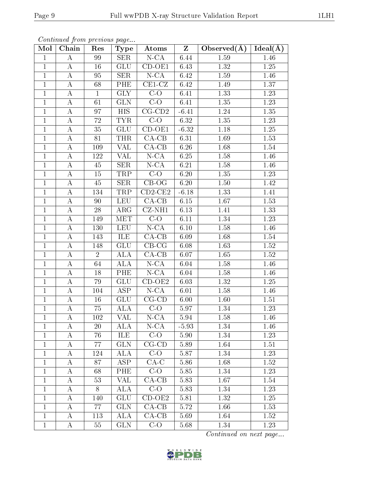| Continued from previous page |  |  |
|------------------------------|--|--|
|                              |  |  |

| Mol            | Chain              | Res            | <b>Type</b>             | Atoms                | $\mathbf{Z}$ | Observed $(A)$ | $Ideal(\overline{A})$ |
|----------------|--------------------|----------------|-------------------------|----------------------|--------------|----------------|-----------------------|
| $\mathbf{1}$   | $\bf{A}$           | 99             | $\overline{\text{SER}}$ | $N$ -CA              | 6.44         | 1.59           | 1.46                  |
| $\mathbf{1}$   | $\bf{A}$           | 16             | <b>GLU</b>              | $\overline{CD}$ -OE1 | 6.43         | 1.32           | 1.25                  |
| $\mathbf{1}$   | $\bf{A}$           | 95             | $\overline{\text{SER}}$ | $N$ -CA              | 6.42         | 1.59           | 1.46                  |
| $\mathbf{1}$   | $\bf{A}$           | 68             | PHE                     | $CE1-CZ$             | 6.42         | 1.49           | 1.37                  |
| $\mathbf{1}$   | $\boldsymbol{A}$   | $\mathbf{1}$   | <b>GLY</b>              | $C-O$                | 6.41         | 1.33           | 1.23                  |
| $\mathbf{1}$   | $\bf{A}$           | 61             | GLN                     | $C-O$                | 6.41         | $1.35\,$       | 1.23                  |
| $\mathbf{1}$   | $\boldsymbol{A}$   | 97             | <b>HIS</b>              | $CG$ - $CD2$         | $-6.41$      | 1.24           | 1.35                  |
| $\mathbf{1}$   | A                  | 72             | <b>TYR</b>              | $C-O$                | 6.32         | 1.35           | 1.23                  |
| $\mathbf{1}$   | $\bf{A}$           | 35             | <b>GLU</b>              | $CD-OE1$             | $-6.32$      | 1.18           | 1.25                  |
| $\mathbf{1}$   | $\bf{A}$           | 81             | <b>THR</b>              | $\overline{CA-CB}$   | 6.31         | 1.69           | 1.53                  |
| $\mathbf{1}$   | $\boldsymbol{A}$   | 109            | VAL                     | $CA-CB$              | 6.26         | 1.68           | 1.54                  |
| $\mathbf{1}$   | $\bf{A}$           | 122            | VAL                     | $N$ -CA              | 6.25         | $1.58\,$       | 1.46                  |
| $\mathbf{1}$   | $\bf{A}$           | 45             | <b>SER</b>              | $N$ -CA              | 6.21         | $1.58\,$       | 1.46                  |
| $\mathbf{1}$   | $\bf{A}$           | 15             | <b>TRP</b>              | $C-O$                | 6.20         | 1.35           | $1.23\,$              |
| $\overline{1}$ | $\bf{A}$           | 45             | $\overline{\text{SER}}$ | $CB-OG$              | 6.20         | 1.50           | 1.42                  |
| $\mathbf{1}$   | $\overline{A}$     | 134            | TRP                     | $\overline{CD2-CE2}$ | $-6.18$      | 1.33           | 1.41                  |
| $\mathbf{1}$   | $\boldsymbol{A}$   | 90             | <b>LEU</b>              | $CA-CB$              | 6.15         | 1.67           | 1.53                  |
| $\mathbf{1}$   | $\overline{A}$     | 28             | $\overline{\text{ARG}}$ | $CZ-NH1$             | 6.13         | 1.41           | 1.33                  |
| $\overline{1}$ | $\mathbf A$        | 149            | MET                     | $C-O$                | 6.11         | 1.34           | 1.23                  |
| $\overline{1}$ | $\overline{\rm A}$ | 130            | <b>LEU</b>              | $N$ -CA              | $6.10\,$     | 1.58           | $\overline{1}.46$     |
| $\mathbf 1$    | $\bf{A}$           | 143            | ILE                     | $CA-CB$              | 6.09         | 1.68           | 1.54                  |
| $\mathbf{1}$   | $\boldsymbol{A}$   | 148            | ${\rm GLU}$             | $CB-CG$              | 6.08         | 1.63           | $1.52\,$              |
| $\mathbf{1}$   | $\bf{A}$           | $\overline{2}$ | <b>ALA</b>              | $CA-CB$              | 6.07         | 1.65           | 1.52                  |
| $\mathbf{1}$   | $\boldsymbol{A}$   | 64             | <b>ALA</b>              | $N$ -CA              | 6.04         | 1.58           | 1.46                  |
| $\mathbf{1}$   | $\bf{A}$           | 18             | PHE                     | $N$ -CA              | 6.04         | 1.58           | 1.46                  |
| $\mathbf{1}$   | $\bf{A}$           | 79             | <b>GLU</b>              | $CD-OE2$             | 6.03         | 1.32           | 1.25                  |
| $\mathbf{1}$   | $\boldsymbol{A}$   | 104            | ASP                     | $N$ -CA              | 6.01         | 1.58           | 1.46                  |
| $\mathbf{1}$   | A                  | 16             | <b>GLU</b>              | $\overline{CG}$ -CD  | 6.00         | 1.60           | 1.51                  |
| $\mathbf{1}$   | $\boldsymbol{A}$   | 75             | ALA                     | $C-O$                | 5.97         | 1.34           | 1.23                  |
| $\perp$        | А                  | 102            | VAL                     | $N$ -C $A$           | 5.94         | 1.58           | 1.46                  |
| $\mathbf 1$    | A                  | 20             | ALA                     | $N$ -CA              | $-5.93$      | 1.34           | 1.46                  |
| $\mathbf{1}$   | A                  | 76             | ILE                     | $C-O$                | 5.90         | 1.34           | 1.23                  |
| $\mathbf{1}$   | A                  | 77             | <b>GLN</b>              | $CG$ - $CD$          | 5.89         | 1.64           | 1.51                  |
| $\mathbf{1}$   | A                  | 124            | <b>ALA</b>              | $C-O$                | 5.87         | 1.34           | 1.23                  |
| $\mathbf{1}$   | $\boldsymbol{A}$   | 87             | <b>ASP</b>              | $CA-C$               | 5.86         | 1.68           | 1.52                  |
| $\mathbf 1$    | A                  | 68             | PHE                     | $C-O$                | 5.85         | 1.34           | 1.23                  |
| $\mathbf{1}$   | A                  | 53             | VAL                     | $CA-CB$              | 5.83         | 1.67           | 1.54                  |
| $\mathbf{1}$   | $\bf{A}$           | 8              | <b>ALA</b>              | $C-O$                | 5.83         | 1.34           | 1.23                  |
| $\mathbf 1$    | Α                  | 140            | <b>GLU</b>              | $CD-OE2$             | 5.81         | 1.32           | 1.25                  |
| $\mathbf{1}$   | A                  | 77             | <b>GLN</b>              | $CA-CB$              | 5.72         | 1.66           | 1.53                  |
| $\mathbf{1}$   | A                  | 113            | ALA                     | $CA-CB$              | 5.69         | 1.64           | 1.52                  |
| $\mathbf{1}$   | A                  | 55             | <b>GLN</b>              | $C-O$                | 5.68         | 1.34           | 1.23                  |

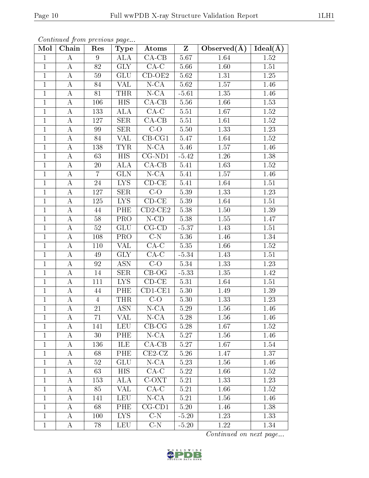| Mol          | Chain            | Res            | Type                                        | Atoms       | $Z_{-}$ | Observed $(\overline{A})$ | $\vert$ Ideal( $\AA$ ) |
|--------------|------------------|----------------|---------------------------------------------|-------------|---------|---------------------------|------------------------|
| $\mathbf{1}$ | A                | 9              | $\overline{\mathrm{A}}\mathrm{L}\mathrm{A}$ | $CA-CB$     | 5.67    | 1.64                      | 1.52                   |
| $\mathbf{1}$ | $\bf{A}$         | 82             | <b>GLY</b>                                  | $CA-C$      | 5.66    | 1.60                      | 1.51                   |
| $\mathbf{1}$ | $\bf{A}$         | 59             | <b>GLU</b>                                  | $CD-OE2$    | 5.62    | $1.31\,$                  | 1.25                   |
| $\mathbf{1}$ | A                | 84             | VAL                                         | $N - CA$    | 5.62    | 1.57                      | 1.46                   |
| $\mathbf{1}$ | $\bf{A}$         | 81             | <b>THR</b>                                  | $N$ -CA     | $-5.61$ | $1.35\,$                  | 1.46                   |
| $\mathbf{1}$ | A                | 106            | <b>HIS</b>                                  | $CA-CB$     | 5.56    | 1.66                      | 1.53                   |
| $\mathbf{1}$ | $\bf{A}$         | 133            | ALA                                         | $CA-C$      | 5.51    | 1.67                      | 1.52                   |
| $\mathbf{1}$ | $\bf{A}$         | 127            | <b>SER</b>                                  | $CA-CB$     | 5.51    | 1.61                      | 1.52                   |
| $\mathbf{1}$ | $\bf{A}$         | 99             | <b>SER</b>                                  | $C-O$       | 5.50    | 1.33                      | 1.23                   |
| $\mathbf{1}$ | $\bf{A}$         | 84             | VAL                                         | $CB-CG1$    | 5.47    | 1.64                      | 1.52                   |
| $\mathbf{1}$ | $\bf{A}$         | 138            | <b>TYR</b>                                  | $N$ -CA     | 5.46    | 1.57                      | 1.46                   |
| $\mathbf{1}$ | $\bf{A}$         | 63             | HIS                                         | $CG-ND1$    | $-5.42$ | 1.26                      | 1.38                   |
| $\mathbf{1}$ | $\boldsymbol{A}$ | 20             | $\overline{\rm ALA}$                        | $CA-CB$     | 5.41    | 1.63                      | $1.52\,$               |
| $\mathbf{1}$ | $\bf{A}$         | $\overline{7}$ | <b>GLN</b>                                  | $N$ -CA     | 5.41    | 1.57                      | 1.46                   |
| $\mathbf{1}$ | $\bf{A}$         | 24             | LYS.                                        | $CD$ - $CE$ | 5.41    | 1.64                      | 1.51                   |
| $\mathbf{1}$ | A                | 127            | <b>SER</b>                                  | $C-O$       | 5.39    | 1.33                      | 1.23                   |
| $\mathbf{1}$ | $\bf{A}$         | 125            | <b>LYS</b>                                  | $CD-CE$     | 5.39    | 1.64                      | 1.51                   |
| $\mathbf{1}$ | $\bf{A}$         | 44             | PHE                                         | $CD2-CE2$   | 5.38    | 1.50                      | 1.39                   |
| $\mathbf{1}$ | $\bf{A}$         | 58             | <b>PRO</b>                                  | $N$ -CD     | 5.38    | 1.55                      | 1.47                   |
| $\mathbf{1}$ | Α                | 52             | <b>GLU</b>                                  | $CG$ - $CD$ | $-5.37$ | 1.43                      | 1.51                   |
| $\mathbf{1}$ | $\bf{A}$         | 108            | PRO                                         | $C-N$       | 5.36    | 1.46                      | 1.34                   |
| $\mathbf{1}$ | $\bf{A}$         | 110            | VAL                                         | $CA-C$      | 5.35    | 1.66                      | 1.52                   |
| $\mathbf{1}$ | Α                | 49             | <b>GLY</b>                                  | $CA-C$      | $-5.34$ | 1.43                      | 1.51                   |
| $\mathbf{1}$ | A                | 92             | <b>ASN</b>                                  | $C-O$       | 5.34    | 1.33                      | 1.23                   |
| $\mathbf{1}$ | A                | 14             | <b>SER</b>                                  | $CB-OG$     | $-5.33$ | 1.35                      | 1.42                   |
| $\mathbf{1}$ | $\bf{A}$         | 111            | <b>LYS</b>                                  | $CD-CE$     | 5.31    | 1.64                      | 1.51                   |
| $\mathbf{1}$ | $\bf{A}$         | 44             | PHE                                         | $CD1-CE1$   | 5.30    | 1.49                      | 1.39                   |
| $\mathbf{1}$ | $\bf{A}$         | $\overline{4}$ | <b>THR</b>                                  | $C-O$       | 5.30    | 1.33                      | 1.23                   |
| $\mathbf{1}$ | $\bf{A}$         | 21             | <b>ASN</b>                                  | $N$ -CA     | 5.29    | 1.56                      | 1.46                   |
| $\mathbf{1}$ | A                | 71             | VAL                                         | $N$ -CA     | 5.28    | 1.56                      | 1.46                   |
| $\mathbf{1}$ | A                | 141            | LEU                                         | $CB-CG$     | 5.28    | 1.67                      | 1.52                   |
| $\mathbf{1}$ | Α                | 30             | PHE                                         | $N$ -CA     | 5.27    | 1.56                      | 1.46                   |
| $\mathbf{1}$ | A                | 136            | ILE                                         | $CA-CB$     | 5.27    | 1.67                      | 1.54                   |
| $\mathbf{1}$ | A                | 68             | PHE                                         | $CE2-CZ$    | 5.26    | 1.47                      | 1.37                   |
| $\mathbf{1}$ | A                | 52             | GLU                                         | $N$ -CA     | 5.23    | 1.56                      | 1.46                   |
| $\mathbf{1}$ | A                | 63             | HIS                                         | $CA-C$      | 5.22    | 1.66                      | 1.52                   |
| $\mathbf{1}$ | A                | 153            | ALA                                         | C-OXT       | 5.21    | 1.33                      | 1.23                   |
| $\mathbf{1}$ | $\bf{A}$         | 85             | VAL                                         | $CA-C$      | 5.21    | 1.66                      | 1.52                   |
| $\mathbf{1}$ | A                | 141            | LEU                                         | $N$ -CA     | 5.21    | 1.56                      | 1.46                   |
| $\mathbf{1}$ | A                | 68             | PHE                                         | $CG-CD1$    | 5.20    | 1.46                      | 1.38                   |
| $\mathbf{1}$ | $\bf{A}$         | 100            | <b>LYS</b>                                  | $C-N$       | $-5.20$ | 1.23                      | 1.33                   |
| $\mathbf{1}$ | A                | 78             | <b>LEU</b>                                  | $C-N$       | $-5.20$ | 1.22                      | 1.34                   |

Continued from previous page...

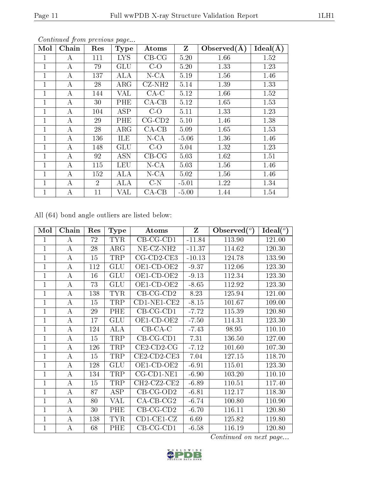| Mol          | Chain | Res            | <b>Type</b> | Atoms        | $\mathbf{Z}$ | Observed $(\AA)$ | Ideal(A) |
|--------------|-------|----------------|-------------|--------------|--------------|------------------|----------|
| 1            | А     | 111            | <b>LYS</b>  | $CB-CG$      | 5.20         | 1.66             | 1.52     |
| 1            | А     | 79             | <b>GLU</b>  | $C-O$        | 5.20         | 1.33             | 1.23     |
| $\mathbf{1}$ | А     | 137            | ALA         | $N$ -CA      | 5.19         | 1.56             | 1.46     |
| 1            | А     | 28             | $\rm{ARG}$  | $CZ-NH2$     | 5.14         | 1.39             | 1.33     |
| 1            | А     | 144            | VAL         | $CA-C$       | 5.12         | 1.66             | 1.52     |
| 1            | А     | 30             | PHE         | $CA-CB$      | 5.12         | 1.65             | 1.53     |
| $\mathbf{1}$ | А     | 104            | <b>ASP</b>  | $C-O$        | 5.11         | 1.33             | 1.23     |
| 1            | А     | 29             | PHE         | $CG$ - $CD2$ | 5.10         | 1.46             | 1.38     |
| $\mathbf{1}$ | А     | 28             | ARG         | $CA-CB$      | 5.09         | 1.65             | 1.53     |
| 1            | А     | 136            | ILE         | $N$ -CA      | $-5.06$      | 1.36             | 1.46     |
| 1            | А     | 148            | <b>GLU</b>  | $C-O$        | 5.04         | 1.32             | 1.23     |
| $\mathbf{1}$ | А     | 92             | <b>ASN</b>  | $CB-CG$      | 5.03         | 1.62             | 1.51     |
| $\mathbf{1}$ | А     | 115            | LEU         | $N$ -CA      | 5.03         | 1.56             | 1.46     |
| 1            | А     | 152            | ALA         | $N$ -CA      | 5.02         | 1.56             | 1.46     |
| 1            | А     | $\overline{2}$ | ALA         | $C-N$        | $-5.01$      | 1.22             | 1.34     |
| 1            | А     | 11             | VAL         | $CA-CB$      | $-5.00$      | 1.44             | 1.54     |

All (64) bond angle outliers are listed below:

| Mol            | Chain            | Res | <b>Type</b> | Atoms                 | Z        | Observed $(°)$ | Ideal $(^\circ)$ |
|----------------|------------------|-----|-------------|-----------------------|----------|----------------|------------------|
| 1              | $\bf{A}$         | 72  | <b>TYR</b>  | $CB-CG-CD1$           | $-11.84$ | 113.90         | 121.00           |
| $\overline{1}$ | A                | 28  | ARG         | NE-CZ-NH <sub>2</sub> | $-11.37$ | 114.62         | 120.30           |
| $\mathbf{1}$   | $\bf{A}$         | 15  | TRP         | $CG$ -CD2-CE3         | $-10.13$ | 124.78         | 133.90           |
| 1              | А                | 112 | <b>GLU</b>  | OE1-CD-OE2            | $-9.37$  | 112.06         | 123.30           |
| $\mathbf{1}$   | А                | 16  | GLU         | OE1-CD-OE2            | $-9.13$  | 112.34         | 123.30           |
| 1              | А                | 73  | <b>GLU</b>  | OE1-CD-OE2            | $-8.65$  | 112.92         | 123.30           |
| $\mathbf 1$    | А                | 138 | <b>TYR</b>  | $CB-CG-CD2$           | 8.23     | 125.94         | 121.00           |
| $\mathbf 1$    | $\boldsymbol{A}$ | 15  | TRP         | $CD1-NE1-CE2$         | $-8.15$  | 101.67         | 109.00           |
| 1              | А                | 29  | PHE         | $CB-CG-CD1$           | $-7.72$  | 115.39         | 120.80           |
| $\mathbf{1}$   | А                | 17  | <b>GLU</b>  | OE1-CD-OE2            | $-7.50$  | 114.31         | 123.30           |
| $\overline{1}$ | А                | 124 | <b>ALA</b>  | $CB-CA-C$             | $-7.43$  | 98.95          | 110.10           |
| $\mathbf{1}$   | А                | 15  | TRP         | $CB-CG-CD1$           | 7.31     | 136.50         | 127.00           |
| $\mathbf 1$    | A                | 126 | TRP         | $CE2$ -CD2-CG         | $-7.12$  | 101.60         | 107.30           |
| $\overline{1}$ | $\boldsymbol{A}$ | 15  | TRP         | $CE2$ -CD2-CE3        | 7.04     | 127.15         | 118.70           |
| $\mathbf{1}$   | А                | 128 | GLU         | OE1-CD-OE2            | $-6.91$  | 115.01         | 123.30           |
| $\mathbf{1}$   | $\boldsymbol{A}$ | 134 | TRP         | CG-CD1-NE1            | $-6.90$  | 103.20         | 110.10           |
| $\overline{1}$ | А                | 15  | TRP         | $CH2-CZ2-CE2$         | $-6.89$  | 110.51         | 117.40           |
| $\overline{1}$ | $\bf{A}$         | 87  | <b>ASP</b>  | $CB-CG-OD2$           | $-6.81$  | 112.17         | 118.30           |
| $\overline{1}$ | А                | 80  | <b>VAL</b>  | $CA-CB-CG2$           | $-6.74$  | 100.80         | 110.90           |
| $\mathbf{1}$   | А                | 30  | PHE         | $CB-CG-CD2$           | $-6.70$  | 116.11         | 120.80           |
| $\mathbf{1}$   | A                | 138 | <b>TYR</b>  | $CD1-CE1-CZ$          | 6.69     | 125.82         | 119.80           |
| $\overline{1}$ | А                | 68  | PHE         | $CB-CG-CD1$           | $-6.58$  | 116.19         | 120.80           |

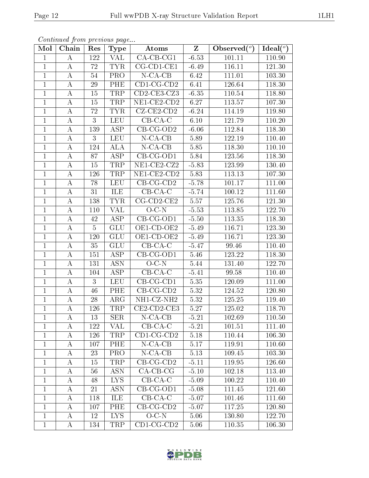| Continued from previous page |  |  |
|------------------------------|--|--|

| Mol            | Chain            | Res             | <b>Type</b>             | Atoms                         | $\mathbf{Z}$      | Observed $(°)$ | Ideal( $^o$ ) |
|----------------|------------------|-----------------|-------------------------|-------------------------------|-------------------|----------------|---------------|
| 1              | А                | 122             | VAL                     | $\overline{\text{CA-CB-CG1}}$ | $-6.53$           | 101.11         | 110.90        |
| $\mathbf{1}$   | $\bf{A}$         | 72              | <b>TYR</b>              | $CG$ -CD1-CE1                 | $-6.49$           | 116.11         | 121.30        |
| $\mathbf{1}$   | $\boldsymbol{A}$ | $54\,$          | $\overline{\text{PRO}}$ | $N$ -CA-CB                    | 6.42              | 111.01         | 103.30        |
| $\mathbf{1}$   | $\bf{A}$         | 29              | PHE                     | $CD1-CG-CD2$                  | 6.41              | 126.64         | 118.30        |
| $\overline{1}$ | $\boldsymbol{A}$ | 15              | <b>TRP</b>              | $CD2-CE3-CZ3$                 | $-6.35$           | 110.54         | 118.80        |
| 1              | А                | 15              | TRP                     | NE1-CE2-CD2                   | 6.27              | 113.57         | 107.30        |
| $\mathbf 1$    | $\boldsymbol{A}$ | 72              | <b>TYR</b>              | $CZ$ - $CE2$ - $CD2$          | $-6.24$           | 114.19         | 119.80        |
| $\mathbf{1}$   | $\bf{A}$         | 3               | <b>LEU</b>              | $CB-CA-C$                     | 6.10              | 121.79         | 110.20        |
| $\mathbf{1}$   | А                | <sup>139</sup>  | <b>ASP</b>              | CB-CG-OD2                     | $-6.06$           | 112.84         | 118.30        |
| $\mathbf{1}$   | $\bf{A}$         | 3               | <b>LEU</b>              | $N$ -CA-CB                    | 5.89              | 122.19         | 110.40        |
| $\mathbf{1}$   | А                | 124             | <b>ALA</b>              | $N$ -CA-CB                    | 5.85              | 118.30         | 110.10        |
| $\mathbf{1}$   | A                | $\overline{8}7$ | <b>ASP</b>              | $CB-CG-OD1$                   | 5.84              | 123.56         | 118.30        |
| $\mathbf{1}$   | A                | 15              | TRP                     | $NE1$ -CE2-CZ2                | $-5.83$           | 123.99         | 130.40        |
| $\mathbf{1}$   | A                | 126             | TRP                     | $NE1$ -CE2-CD2                | 5.83              | 113.13         | 107.30        |
| $\mathbf{1}$   | А                | 78              | <b>LEU</b>              | $CB-CG-CD2$                   | $-5.78$           | 101.17         | 111.00        |
| $\mathbf{1}$   | A                | 31              | ILE                     | $CB-CA-C$                     | $-5.74$           | 100.12         | 111.60        |
| $\mathbf{1}$   | $\bf{A}$         | 138             | <b>TYR</b>              | $CG$ -CD2-CE2                 | 5.57              | 125.76         | 121.30        |
| $\mathbf{1}$   | $\boldsymbol{A}$ | 110             | <b>VAL</b>              | $O-C-N$                       | $-5.53$           | 113.85         | 122.70        |
| $\mathbf{1}$   | А                | 42              | <b>ASP</b>              | $\overline{CB}$ -CG-OD1       | $-5.50$           | 113.35         | 118.30        |
| $\overline{1}$ | $\boldsymbol{A}$ | $\overline{5}$  | <b>GLU</b>              | OE1-CD-OE2                    | $-5.49$           | 116.71         | 123.30        |
| $\mathbf{1}$   | $\bf{A}$         | 120             | <b>GLU</b>              | OE1-CD-OE2                    | $-5.49$           | 116.71         | 123.30        |
| $\mathbf{1}$   | $\boldsymbol{A}$ | 35              | <b>GLU</b>              | $CB-CA-C$                     | $-5.47$           | 99.46          | 110.40        |
| $\mathbf{1}$   | А                | 151             | <b>ASP</b>              | $CB-CG-OD1$                   | 5.46              | 123.22         | 118.30        |
| $\overline{1}$ | $\boldsymbol{A}$ | 131             | $\overline{ASN}$        | $O-C-N$                       | 5.44              | 131.40         | 122.70        |
| 1              | А                | 104             | <b>ASP</b>              | $CB-CA-C$                     | $-5.41$           | 99.58          | 110.40        |
| 1              | $\boldsymbol{A}$ | 3               | <b>LEU</b>              | $CB$ -CG-CD1                  | 5.35              | 120.09         | 111.00        |
| $\mathbf{1}$   | A                | 46              | PHE                     | $CB-CG-CD2$                   | $\overline{5.32}$ | 124.52         | 120.80        |
| $\mathbf{1}$   | А                | 28              | $\rm{ARG}$              | NH1-CZ-NH2                    | 5.32              | 125.25         | 119.40        |
| $\mathbf{1}$   | $\bf{A}$         | 126             | TRP                     | $CE2$ -CD2-CE3                | 5.27              | 125.02         | 118.70        |
| 1              | A                | 13              | <b>SER</b>              | $N$ -CA-CB                    | $-5.21$           | 102.69         | 110.50        |
| 1              | А                | 122             | VAL                     | $CB-CA-C$                     | $-5.21$           | 101.51         | 111.40        |
| $\mathbf{1}$   | A                | 126             | TRP                     | $CD1-CG-CD2$                  | 5.18              | 110.44         | 106.30        |
| $\mathbf{1}$   | A                | 107             | PHE                     | $N$ -CA-CB                    | 5.17              | 119.91         | 110.60        |
| 1              | A                | 23              | PRO                     | $N$ -CA-CB                    | 5.13              | 109.45         | 103.30        |
| $\mathbf{1}$   | A                | 15              | TRP                     | $CB-CG-CD2$                   | $-5.11$           | 119.95         | 126.60        |
| $\mathbf 1$    | A                | 56              | ASN                     | $CA-CB-CG$                    | $-5.10$           | 102.18         | 113.40        |
| $\mathbf{1}$   | A                | 48              | LYS.                    | $CB-CA-C$                     | $-5.09$           | 100.22         | 110.40        |
| $\mathbf{1}$   | A                | 21              | ASN                     | $CB-CG-OD1$                   | $-5.08$           | 111.45         | 121.60        |
| $\mathbf{1}$   | А                | 118             | ILE                     | $CB-CA-C$                     | $-5.07$           | 101.46         | 111.60        |
| $\mathbf 1$    | A                | 107             | PHE                     | $CB-CG-CD2$                   | $-5.07$           | 117.25         | 120.80        |
| $\mathbf{1}$   | A                | 12              | I <sub>NS</sub>         | $O-C-N$                       | 5.06              | 130.80         | 122.70        |
| $\,1$          | $\bf{A}$         | 134             | TRP                     | $CD1-CG-CD2$                  | 5.06              | 110.35         | 106.30        |

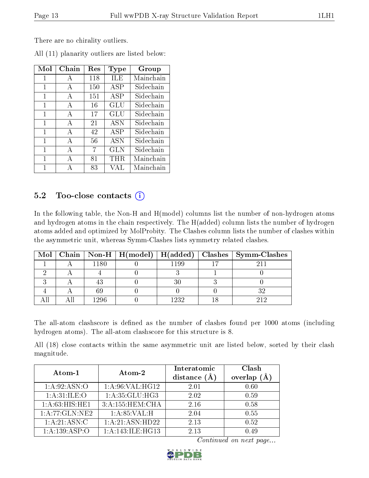There are no chirality outliers.

| Mol          | Chain        | Res | Type       | Group     |
|--------------|--------------|-----|------------|-----------|
| 1            | A            | 118 | ILE        | Mainchain |
| 1            | $\mathbf{A}$ | 150 | <b>ASP</b> | Sidechain |
| 1            | A            | 151 | <b>ASP</b> | Sidechain |
| 1            | A            | 16  | GLU        | Sidechain |
| $\mathbf{1}$ | A            | 17  | GLU        | Sidechain |
| 1            | A            | 21  | <b>ASN</b> | Sidechain |
| 1            | A            | 42  | <b>ASP</b> | Sidechain |
| 1            | A            | 56  | <b>ASN</b> | Sidechain |
| 1            | $\mathbf{A}$ | 7   | GLN        | Sidechain |
| $\mathbf{1}$ | A            | 81  | THR        | Mainchain |
| 1            |              | 83  | VAL        | Mainchain |

All (11) planarity outliers are listed below:

## 5.2 Too-close contacts  $(i)$

In the following table, the Non-H and H(model) columns list the number of non-hydrogen atoms and hydrogen atoms in the chain respectively. The H(added) column lists the number of hydrogen atoms added and optimized by MolProbity. The Clashes column lists the number of clashes within the asymmetric unit, whereas Symm-Clashes lists symmetry related clashes.

|  |      |          | Mol   Chain   Non-H   H(model)   H(added)   Clashes   Symm-Clashes |
|--|------|----------|--------------------------------------------------------------------|
|  | 1180 | 1199     |                                                                    |
|  |      |          |                                                                    |
|  |      |          |                                                                    |
|  |      |          |                                                                    |
|  | 1296 | $1232 -$ |                                                                    |

The all-atom clashscore is defined as the number of clashes found per 1000 atoms (including hydrogen atoms). The all-atom clashscore for this structure is 8.

All (18) close contacts within the same asymmetric unit are listed below, sorted by their clash magnitude.

| Atom-1                    | Atom-2            | Interatomic    | Clash          |
|---------------------------|-------------------|----------------|----------------|
|                           |                   | distance $(A)$ | (A)<br>overlap |
| 1: A:92: ASN:O            | 1: A:96: VAL:HGI2 | 2.01           | 0.60           |
| 1: A:31: ILE:O            | 1: A:35: GLU:HG3  | 2.02           | 0.59           |
| 1: A:63: HIS: HE1         | 3:A:155:HEM:CHA   | 2.16           | 0.58           |
| 1:A:77:GLN:NE2            | 1: A:85:VAL:H     | 2.04           | 0.55           |
| $1:A:21:\overline{ASN:C}$ | 1:A:21:ASN:HD22   | 2.13           | 0.52           |
| 1: A: 139: ASP: O         | 1:A:143:ILE:HG13  | 2.13           | 0.49           |

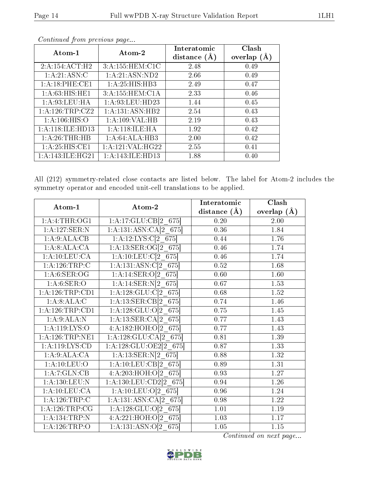| Atom-1              | Atom-2             | Interatomic<br>distance $(A)$ | Clash<br>overlap $(A)$ |
|---------------------|--------------------|-------------------------------|------------------------|
| 2:A:154:ACT:H2      | 3:A:155:HEM:ClC    | 2.48                          | 0.49                   |
| 1:A:21:ASN:C        | 1:A:21:ASN:ND2     | 2.66                          | 0.49                   |
| 1:A:18:PHE:CE1      | 1:A:25:HIS:HB3     | 2.49                          | 0.47                   |
| 1: A:63: HIS: HE1   | 3:A:155:HEM:C1A    | 2.33                          | 0.46                   |
| 1: A:93:LEU:HA      | 1: A:93: LEU: HD23 | 1.44                          | 0.45                   |
| 1: A: 126: TRP: CZ2 | 1:A:131:ASN:HB2    | 2.54                          | 0.43                   |
| 1: A:106: HIS:O     | 1: A: 109: VAL: HB | 2.19                          | 0.43                   |
| 1: A:118: ILE: HD13 | 1:A:118:ILE:HA     | 1.92                          | 0.42                   |
| 1:A:26:THR:HB       | 1:A:64:ALA:HB3     | 2.00                          | 0.42                   |
| 1: A:25: HIS: CE1   | 1: A:121: VAL:HG22 | 2.55                          | 0.41                   |
| 1: A:143: ILE: HG21 | 1:A:143:ILE:HD13   | 1.88                          | 0.40                   |

All (212) symmetry-related close contacts are listed below. The label for Atom-2 includes the symmetry operator and encoded unit-cell translations to be applied.

| Atom-1                        | Atom-2                      | Interatomic       | Clash              |
|-------------------------------|-----------------------------|-------------------|--------------------|
|                               |                             | distance $(A)$    | overlap $(\AA)$    |
| $1: A: 4:THR: \overline{OG1}$ | 1:A:17:GLU:CB[2 675]        | 0.20              | 2.00               |
| 1:A:127:SER:N                 | 1:A:131:ASN:CA[2 675]       | $\overline{0.36}$ | $\overline{1}$ .84 |
| 1:A:9:ALA:CB                  | 1:A:12:LYS:C[2 675]         | 0.44              | 1.76               |
| 1:A:8:ALA:CA                  | 1:A:13:SER:OG[2 675]        | 0.46              | 1.74               |
| 1:A:10:LEU:CA                 | 1:A:10:LEU:C[2 675]         | 0.46              | 1.74               |
| 1:A:126:TRP:C                 | 1:A:131:ASN:C[2 675]        | $0.52\,$          | 1.68               |
| 1: A:6: SER:OG                | 1:A:14:SER:O[2 675]         | 0.60              | 1.60               |
| 1: A:6: SER:O                 | 1:A:14:SER:N[2 675]         | 0.67              | 1.53               |
| 1:A:126:TRP:CD1               | $1:A:128:GLU:Cl2$ 675       | 0.68              | 1.52               |
| 1:A:8:ALA:C                   | 1:A:13:SER:CB[2 675]        | 0.74              | 1.46               |
| 1:A:126:TRP:CD1               | 1:A:128:GLU:O[2 675]        | 0.75              | 1.45               |
| 1:A:9:ALA:N                   | 1:A:13:SER:CA[2 675]        | 0.77              | 1.43               |
| 1: A: 119: LYS: O             | 4:A:182:HOH:O[2 675]        | 0.77              | 1.43               |
| 1: A: 126: TRP: NE1           | $1: A: 128: GLU: CA[2_675]$ | 0.81              | 1.39               |
| 1: A: 119: LYS: CD            | 1:A:128:GLU:OE2[2 675]      | 0.87              | 1.33               |
| 1:A:9:ALA:CA                  | 1:A:13:SER:N[2 675]         | 0.88              | 1.32               |
| 1: A: 10: LEU: O              | 1:A:10:LEU:CB[2 675]        | 0.89              | 1.31               |
| 1:A:7:GLN:CB                  | $4:A:203:HOH:O[2]$ 675      | 0.93              | 1.27               |
| 1:A:130:LEU:N                 | $1:A:130:LEU:CD2[2_675]$    | 0.94              | 1.26               |
| 1: A: 10: LEU: CA             | 1:A:10:LEU:O[2 675]         | 0.96              | 1.24               |
| 1:A:126:TRP:C                 | $1:A:131:ASN:CA[2_675]$     | 0.98              | 1.22               |
| 1: A:126:TRP:CG               | 1:A:128:GLU:O[2 675]        | $1.01\,$          | 1.19               |
| 1:A:134:TRP:N                 | 4:A:221:HOH:O[2 675]        | 1.03              | 1.17               |
| 1:A:126:TRP:O                 | $1:A:131:ASN:O[2_675]$      | $\overline{1.05}$ | $1.15\,$           |

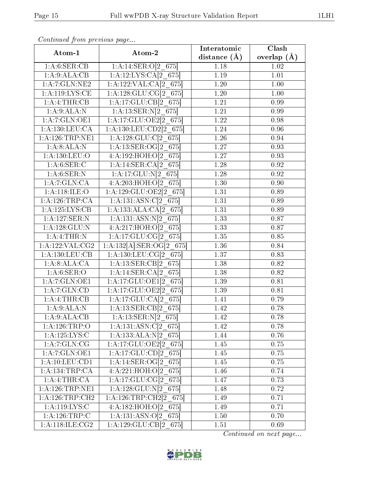| Atom-1              | Atom-2                              | Interatomic       | Clash         |
|---------------------|-------------------------------------|-------------------|---------------|
|                     |                                     | distance $(A)$    | overlap $(A)$ |
| 1: A:6: SER:CB      | 1:A:14:SER:O[2 675]                 | 1.18              | 1.02          |
| 1:A:9:ALA:CB        | 1:A:12:LYS:CA[2 675]                | $\overline{1.19}$ | 1.01          |
| 1:A:7:GLN:NE2       | 1:A:122:VAL:CA[2 675]               | 1.20              | 1.00          |
| 1: A: 119: LYS: CE  | 1:A:128:GLU:CG[2 675]               | 1.20              | 1.00          |
| 1:A:4:THR:CB        | 1:A:17:GLU:CB[2 675]                | 1.21              | 0.99          |
| 1:A:9:ALA:N         | 1:A:13:SER:N[2 675]                 | 1.21              | 0.99          |
| 1:A:7:GLN:OE1       | 1:A:17:GLU:OE2[2 675]               | 1.22              | 0.98          |
| 1: A: 130: LEU: CA  | 1:A:130:LEU:CD2[2 675]              | 1.24              | 0.96          |
| 1: A: 126: TRP: NE1 | $1:A:128:GLU:Cl2$ 675               | 1.26              | 0.94          |
| 1:A:8:ALA:N         | 1:A:13:SER:OG[2 675]                | 1.27              | 0.93          |
| 1:A:130:LEU:O       | 4:A:192:HOH:O[2 675]                | 1.27              | 0.93          |
| 1: A:6: SER:C       | 1:A:14:SER:CA[2 675]                | 1.28              | 0.92          |
| 1: A:6: SER: N      | $1:A:17:GLU:N[2]$ 675               | 1.28              | 0.92          |
| 1: A:7: GLN: CA     | 4:A:203:HOH:O[2 675]                | 1.30              | 0.90          |
| 1:A:118:JLE:O       | 1:A:129:GLU:OE2[2 675]              | 1.31              | 0.89          |
| 1:A:126:TRP:CA      | 1:A:131:ASN:C[2 675]                | 1.31              | 0.89          |
| 1: A: 125: LYS: CB  | 1:A:133:ALA:CA[2 675]               | 1.31              | 0.89          |
| 1:A:127:SER:N       | 1:A:131:ASN:N[2 675]                | 1.33              | 0.87          |
| 1: A: 128: GLU: N   | 4:A:217:HOH:O[2 675]                | 1.33              | 0.87          |
| 1:A:4:THR:N         | 1:A:17:GLU:CG[2 675]                | 1.35              | 0.85          |
| $1:$ A:122:VAL:CG2  | $1:A:132[A]:SER:OG[2_675]$          | $\overline{1.36}$ | 0.84          |
| 1: A: 130: LEU: CB  | 1:A:130:LEU:CG[2 675]               | 1.37              | 0.83          |
| 1:A:8:ALA:CA        | 1:A:13:SER:CB[2 675]                | 1.38              | 0.82          |
| 1: A:6: SER:O       | 1:A:14:SER:CA[2 675]                | 1.38              | 0.82          |
| 1: A: 7: GLN: OE1   | 1:A:17:GLU:OE1[2 675]               | 1.39              | 0.81          |
| 1: A: 7: GLN: CD    | 1:A:17:GLU:OE2[2 675]               | 1.39              | 0.81          |
| 1: A: 4: THEN: CB   | 1:A:17:GLU:CA[2 675]                | 1.41              | 0.79          |
| 1:A:9:ALA:N         | 1:A:13:SER:CB[2 675]                | 1.42              | 0.78          |
| 1:A:9:ALA:CB        | $1:A:13:SER:N[2_675]$               | 1.42              | 0.78          |
| 1:A:126:TRP:O       | $1:A:131:AS\overline{N:C[2\; 675]}$ | 1.42              | 0.78          |
| 1: A: 125: LYS: C   | 1:A:133:ALA:N[2 675]                | 1.44              | 0.76          |
| 1:A:7:GLN:CG        | 1:A:17:GLU:OE2[2 675]               | 1.45              | 0.75          |
| 1:A:7:GLN:OE1       | $1:A:17:GLU:CD[2_675]$              | 1.45              | 0.75          |
| 1: A:10:LEV:CD1     | 1:A:14:SER:OG[2 675]                | 1.45              | 0.75          |
| 1: A: 134: TRP: CA  | 4:A:221:HOH:O[2 675]                | 1.46              | 0.74          |
| 1:A:4:THR:CA        | 1:A:17:GLU:CG[2 675]                | 1.47              | 0.73          |
| 1: A: 126: TRP: NE1 | 1:A:128:GLU:N[2 675]                | 1.48              | 0.72          |
| 1: A:126:TRP:CH2    | 1:A:126:TRP:CH2[2 675]              | 1.49              | 0.71          |
| 1: A:119: LYS: C    | 4:A:182:HOH:O[2 675]                | 1.49              | 0.71          |
| 1:A:126:TRP:C       | 1:A:131:ASN:O[2 675]                | 1.50              | 0.70          |
| 1: A:118: ILE: CG2  | 1:A:129:GLU:CB[2 675]               | 1.51              | 0.69          |

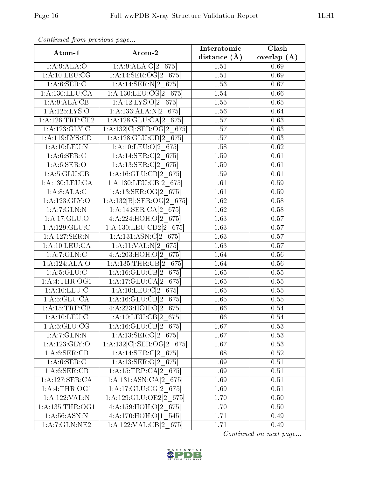| Atom-1              | Atom-2                             | Interatomic       | Clash             |
|---------------------|------------------------------------|-------------------|-------------------|
|                     |                                    | distance $(\AA)$  | overlap $(A)$     |
| 1: A:9: ALA:O       | 1:A:9:ALA:O[2 675]                 | 1.51              | 0.69              |
| 1: A:10:LEU:CG      | $1:A:14:SER:OG[2_675]$             | 1.51              | 0.69              |
| 1: A:6: SER:C       | $1:A:14:SER:N[2_675]$              | 1.53              | 0.67              |
| 1: A: 130: LEU: CA  | $1: A: 130: LEU: CG[2_675]$        | 1.54              | 0.66              |
| 1:A:9:ALA:CB        | $1:A:12:LYS:O[2_675]$              | 1.55              | 0.65              |
| 1:A:125:LYS:O       | $1:A:133:ALA:N[2_675]$             | 1.56              | $0.\overline{64}$ |
| 1: A:126:TRP:CE2    | $1:A:128:GLU:CA[2_675]$            | 1.57              | 0.63              |
| 1:A:123:GLY:C       | $1:A:132[C].SER:OG[2_675]$         | 1.57              | 0.63              |
| 1:A:119:LYS:CD      | 1:A:128:GLU:CD[2 675]              | 1.57              | 0.63              |
| 1: A:10:LEU: N      | $1:A:10:LEU:O[2_675]$              | 1.58              | 0.62              |
| 1: A:6: SER: C      | 1:A:14:SER:C[2 675]                | 1.59              | 0.61              |
| 1: A:6: SER:O       | $1:A:13:SER:C[2_675]$              | 1.59              | $\overline{0.61}$ |
| 1: A:5: GLU:CB      | 1:A:16:GLU:CB[2 675]               | 1.59              | 0.61              |
| 1: A: 130: LEU: CA  | 1:A:130:LEU:CB[2 675]              | 1.61              | 0.59              |
| 1:A:8:ALA:C         | 1:A:13:SER:OG[2 675]               | 1.61              | 0.59              |
| 1:A:123:GLY:O       | $1:A:132[B]:SER:OG[2_675]$         | 1.62              | 0.58              |
| 1:A:7:GLN:N         | 1:A:14:SER:CA[2 675]               | 1.62              | 0.58              |
| 1: A:17: GLU:O      | $4:A:224:H\overline{OH:O[2\;675]}$ | 1.63              | 0.57              |
| 1:A:129:GLU:C       | 1:A:130:LEU:CD2[2 675]             | 1.63              | 0.57              |
| 1:A:127:SER:N       | 1:A:131:ASN:C[2 675]               | 1.63              | 0.57              |
| 1: A:10:LEU:CA      | 1:A:11:VAL:N[2 675]                | $\overline{1.63}$ | $\overline{0.57}$ |
| 1:A:7:GLN:C         | 4:A:203:HOH:O[2 675]               | 1.64              | 0.56              |
| 1:A:124:ALA:O       | 1:A:135:THR:CB[2 675]              | 1.64              | 0.56              |
| 1: A:5: GLU: C      | 1:A:16:GLU:CB[2 675]               | 1.65              | 0.55              |
| 1: A:4:THR:OG1      | $1:A:17:GLU:CA[2_675]$             | 1.65              | $0.55\,$          |
| 1: A: 10: LEU: C    | $1:A:10:LEU:Cl2_675$               | 1.65              | $0.55\,$          |
| 1: A:5: GLU:CA      | 1:A:16:GLU:CB[2_675]               | 1.65              | 0.55              |
| 1:A:15:TRP:CB       | 4:A:223:HOH:O[2 675]               | 1.66              | 0.54              |
| 1: A: 10: LEU: C    | $1:A:10:LEU:CB[2_675]$             | 1.66              | 0.54              |
| 1: A: 5: GLU: CG    | 1:A:16:GLU:CB[2 675]               | 1.67              | 0.53              |
| 1:A:7:GLN:N         | $1:A:13:SER:O[2_675]$              | 1.67              | 0.53              |
| $1:$ A:123:GLY:O    | $1:A:132[C].SER:OG[2_675]$         | 1.67              | 0.53              |
| 1: A:6: SER:CB      | $1:A:14:SER:C[2_675]$              | 1.68              | 0.52              |
| 1: A:6: SER: C      | 1:A:13:SER:O[2 675]                | 1.69              | 0.51              |
| 1:A:6:SER:CB        | 1:A:15:TRP:CA[2 675]               | 1.69              | 0.51              |
| 1:A:127:SER:CA      | 1:A:131:ASN:CA[2 675]              | 1.69              | 0.51              |
| 1: A:4:THR:OG1      | 1:A:17:GLU:CG[2 675]               | 1.69              | 0.51              |
| 1:A:122:VAL:N       | 1:A:129:GLU:OE2[2 675]             | 1.70              | 0.50              |
| 1: A: 135: THR: OG1 | 4:A:159:HOH:O[2 675]               | 1.70              | 0.50              |
| 1: A:56: ASN: N     | 4:A:170:HOH:O[1 545]               | 1.71              | 0.49              |
| 1:A:7:GLN:NE2       | $1:A:122:VAL:CB[2_675]$            | 1.71              | 0.49              |

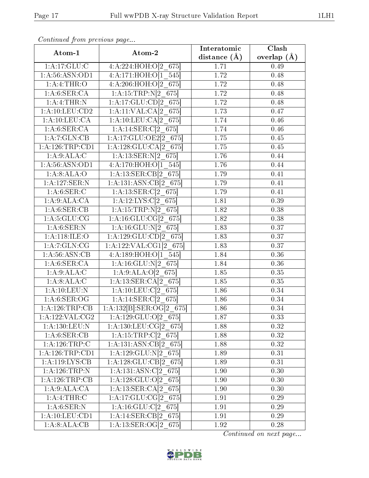| Atom-1                            | Atom-2                                   | Interatomic        | Clash           |
|-----------------------------------|------------------------------------------|--------------------|-----------------|
|                                   |                                          | distance $(A)$     | overlap $(\AA)$ |
| 1: A:17: GLU: C                   | 4:A:224:HOH:O[2 675]                     | 1.71               | 0.49            |
| 1: A:56: ASN:OD1                  | 4:A:171:HOH:O[1 545]                     | 1.72               | 0.48            |
| 1: A: 4: THEN: O                  | 4:A:206:HOH:O[2 675]                     | 1.72               | 0.48            |
| 1: A:6: SER:CA                    | 1:A:15:TRP:N[2 675]                      | 1.72               | 0.48            |
| 1:A:4:THR:N                       | 1:A:17:GLU:CD[2 675]                     | 1.72               | 0.48            |
| 1: A: 10: LEU: CD2                | 1:A:11:VAL:CA[2 675]                     | 1.73               | 0.47            |
| 1: A: 10: LEU: CA                 | 1:A:10:LEU:CA[2 675]                     | 1.74               | 0.46            |
| 1: A:6: SER:CA                    | 1:A:14:SER:C[2 675]                      | 1.74               | 0.46            |
| 1:A:7:GLN:CB                      | 1:A:17:GLU:OE2[2 675]                    | 1.75               | 0.45            |
| 1: A: 126: TRP: CD1               | 1:A:128:GLU:CA[2 675]                    | 1.75               | 0.45            |
| 1:A:9:ALA:C                       | 1:A:13:SER:N[2 675]                      | 1.76               | 0.44            |
| 1:A:56:ASN:OD1                    | 4:A:170:HOH:O[1 545]                     | 1.76               | 0.44            |
| 1:A:8:ALA:O                       | 1:A:13:SER:CB[2 675]                     | 1.79               | 0.41            |
| 1:A:127:SER:N                     | 1:A:131:ASN:CB[2 675]                    | 1.79               | 0.41            |
| $1: A:6: \overline{\text{SER}:C}$ | 1:A:13:SER:C[2 675]                      | 1.79               | 0.41            |
| 1:A:9:ALA:CA                      | 1:A:12:LYS:C[2 675]                      | 1.81               | 0.39            |
| 1:A:6:SER:CB                      | 1:A:15:TRP:N[2 675]                      | 1.82               | 0.38            |
| 1: A: 5: GLU: CG                  | 1:A:16:GLU:CG[2 675]                     | 1.82               | 0.38            |
| 1: A:6: SER: N                    | 1:A:16:GLU:N[2 675]                      | 1.83               | 0.37            |
| 1: A:118: ILE: O                  | $1:A:129:GLU:CD[2_675]$                  | 1.83               | 0.37            |
| 1:A:7:GLN:CG                      | 1:A:122:VAL:CG1[2 675]                   | 1.83               | 0.37            |
| 1: A:56: ASN:CB                   | 4:A:189:HOH:O[1 545]                     | 1.84               | 0.36            |
| 1: A:6: SER:CA                    | 1:A:16:GLU:N[2 675]                      | 1.84               | 0.36            |
| 1:A:9:ALA:C                       | 1:A:9:ALA:O[2 675]                       | 1.85               | 0.35            |
| 1:A:8:ALA:C                       | $1:A:13:SER:CA[2_675]$                   | $\overline{1}$ .85 | 0.35            |
| 1: A:10:LEU: N                    | 1:A:10:LEU:C[2 675]                      | 1.86               | 0.34            |
| 1: A:6: SER:OG                    | 1:A:14:SER:C[2 675]                      | 1.86               | 0.34            |
| 1:A:126:TRP:CB                    | $1:A:132[B]:\overline{SER:OG[2\_675]}$   | 1.86               | 0.34            |
| 1:A:122:VAL:CG2                   | $1:A:129:GLU:O[2_675]$                   | 1.87               | 0.33            |
| 1:A:130:LEU:N                     | 1:A:130:LEU:CG[2 675]                    | 1.88               | 0.32            |
| 1: A:6: SER: CB                   | $1: A: 15: TRP: C[2_675]$                | 1.88               | 0.32            |
| 1: A: 126: TRP: C                 | 1:A:131:ASN:CB[2 675]                    | 1.88               | 0.32            |
| 1: A: 126: TRP: CD1               | $1:\!A:\!129:\!GL\overline{U:N[2\_675]}$ | 1.89               | 0.31            |
| 1: A:119: LYS: CB                 | 1:A:128:GLU:CB[2 675]                    | 1.89               | 0.31            |
| 1:A:126:TRP:N                     | $1:A:131:AS\overline{N:C[2\ 675]}$       | 1.90               | 0.30            |
| 1:A:126:TRP:CB                    | 1:A:128:GLU:O[2 675]                     | 1.90               | 0.30            |
| 1:A:9:ALA:CA                      | 1:A:13:SER:CA[2 675]                     | 1.90               | 0.30            |
| 1: A: 4: THEN: C                  | 1:A:17:GLU:CG[2 675]                     | 1.91               | 0.29            |
| 1: A:6: SER: N                    | 1:A:16:GLU:C[2 675]                      | 1.91               | 0.29            |
| 1: A: 10: LEU: CD1                | 1:A:14:SER:CB[2 675]                     | 1.91               | 0.29            |
| 1:A:8:ALA:CB                      | 1:A:13:SER:OG[2 675]                     | 1.92               | 0.28            |

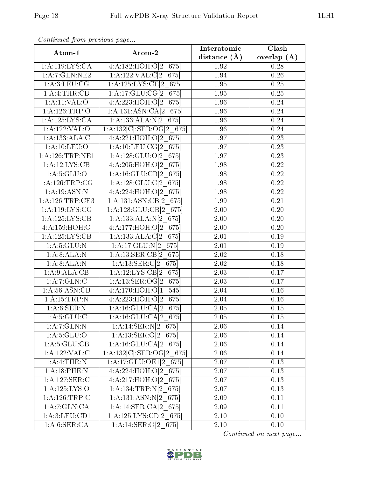| Atom-1                           | Atom-2                                  | Interatomic       | Clash             |
|----------------------------------|-----------------------------------------|-------------------|-------------------|
|                                  |                                         | distance $(\AA)$  | overlap $(\AA)$   |
| 1:A:119:LYS:CA                   | 4:A:182:HOH:O[2 675]                    | 1.92              | 0.28              |
| 1: A: 7: GLN: NE2                | 1:A:122:VAL:Cl <sub>2</sub> 675         | 1.94              | $\overline{0.26}$ |
| 1: A:3: LEU: CG                  | 1:A:125:LYS:CE[2 675]                   | 1.95              | 0.25              |
| 1:A:4:THR:CB                     | 1:A:17:GLU:CG[2 675]                    | 1.95              | $\overline{0.25}$ |
| 1:A:11:VAL:O                     | 4:A:223:HOH:O[2 675]                    | 1.96              | 0.24              |
| 1:A:126:TRP:O                    | 1:A:131:ASN:CA[2 675]                   | 1.96              | 0.24              |
| 1: A: 125: LYS: CA               | 1:A:133:ALA:N[2 675]                    | 1.96              | 0.24              |
| 1:A:122:VAL:O                    | 1:A:132[C]:SER:OG[2 675]                | 1.96              | 0.24              |
| 1:A:133:ALA:C                    | $4:A:221:HOH:O[2]$ 675                  | 1.97              | 0.23              |
| 1: A: 10: LEU: O                 | 1:A:10:LEU:CG[2 675]                    | 1.97              | 0.23              |
| 1: A: 126: TRP: NE1              | 1:A:128:GLU:O[2 675]                    | 1.97              | 0.23              |
| 1:A:12:LYS:CB                    | 4:A:205:HOH:O[2 675]                    | 1.98              | 0.22              |
| 1: A:5: GLU:O                    | $1:A:16:GLU:CB[2_675]$                  | 1.98              | 0.22              |
| 1:A:126:TRP:CG                   | $1:A:128:GLU:Cl2$ 675                   | 1.98              | $\overline{0.22}$ |
| 1: A:19: ASN:N                   | 4:A:224:HOH:O[2 675]                    | 1.98              | 0.22              |
| 1: A:126:TRP:CE3                 | 1:A:131:ASN:CB[2 675]                   | 1.99              | 0.21              |
| 1: A: 119: LYS: CG               | $1:A:128:GLU:CB[2_675]$                 | $\overline{2.00}$ | 0.20              |
| 1: A: 125: LYS: CB               | 1:A:133:ALA:N[2 675]                    | 2.00              | 0.20              |
| 4:A:159:HOH:O                    | 4:A:177:HOH:O[2 675]                    | 2.00              | 0.20              |
| 1:A:125:LYS:CB                   | 1:A:133:ALA:C[2 675]                    | 2.01              | 0.19              |
| 1: A:5: GLU: N                   | 1:A:17:GLU:N[2 675]                     | 2.01              | 0.19              |
| 1:A:8:ALA:N                      | 1:A:13:SER:CB[2 675]                    | 2.02              | 0.18              |
| 1: A:8:ALA:N                     | 1:A:13:SER:C[2 675]                     | 2.02              | 0.18              |
| 1:A:9:ALA:CB                     | 1:A:12:LYS:CB[2 675]                    | 2.03              | 0.17              |
| 1: A: 7: GLN: C                  | $1:A:13:SER:OG[2_675]$                  | 2.03              | 0.17              |
| 1: A:56: ASN:CB                  | 4:A:170:HOH:O[1 545]                    | 2.04              | 0.16              |
| 1: A:15:TRP:N                    | 4:A:223:HOH:O[2 675]                    | 2.04              | 0.16              |
| 1: A:6: SER: N                   | 1:A:16:GLU:CA[2 675]                    | 2.05              | 0.15              |
| 1: A:5: GLU: C                   | $1:A:16:GLU:CA[2_675]$                  | 2.05              | 0.15              |
| 1:A:7:GLN:N                      | 1:A:14:SER:N[2 675]                     | 2.06              | 0.14              |
| 1:A:5:GLU:O                      | 1:A:13:SER:O[2 675]                     | 2.06              | 0.14              |
| 1: A:5: GLU: CB                  | 1:A:16:GLU:CA[2 675]                    | 2.06              | 0.14              |
| 1:A:122:VAL:C                    | $1:A:132[C]:\text{SER:OG}[2 \quad 675]$ | 2.06              | 0.14              |
| 1:A:4:THR:N                      | 1:A:17:GLU:OE1[2 675]                   | 2.07              | 0.13              |
| 1:A:18:PHE:N                     | 4:A:224:HOH:O[2 675]                    | 2.07              | 0.13              |
| 1: A: 127: SER: C                | 4:A:217:HOH:O[2 675]                    | 2.07              | 0.13              |
| 1:A:125:LYS:O                    | $1:A:134:TRP:\overline{N[2\ 675]}$      | 2.07              | 0.13              |
| 1:A:126:TRP:C                    | 1:A:131:ASN:N[2 675]                    | 2.09              | 0.11              |
| 1: A:7: GLN: CA                  | $1:A:14:SER:CA[2-675]$                  | 2.09              | 0.11              |
| 1: A:3: LEU: CD1                 | 1:A:125:LYS:CD[2 675]                   | 2.10              | 0.10              |
| $1:A:6:\overline{\text{SER:CA}}$ | $1:A:14:SER:O[2_675]$                   | 2.10              | 0.10              |

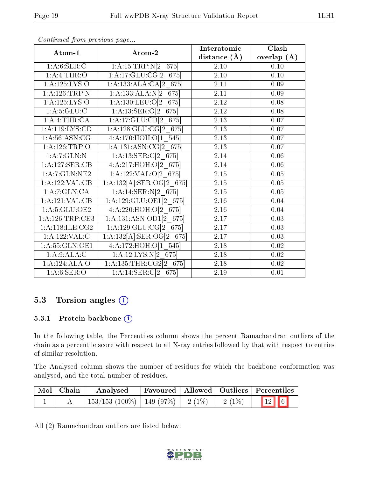| Atom-1             | Atom-2                            | Interatomic       | Clash           |
|--------------------|-----------------------------------|-------------------|-----------------|
|                    |                                   | distance $(A)$    | overlap $(\AA)$ |
| 1: A:6: SER: C     | 1:A:15:TRP:N[2 675]               | 2.10              | 0.10            |
| 1: A: 4: THE: O    | 1:A:17:GLU:CG[2 675]              | $\overline{2.10}$ | 0.10            |
| 1:A:125:LYS:O      | 1:A:133:ALA:CA[2 675]             | 2.11              | 0.09            |
| 1: A:126:TRP:N     | 1:A:133:ALA:N[2 675]              | 2.11              | 0.09            |
| 1: A: 125: LYS: O  | 1:A:130:LEU:O[2 675]              | 2.12              | 0.08            |
| 1: A:5: GLU: C     | 1:A:13:SER:O[2 675]               | $2.12\,$          | 0.08            |
| 1:A:4:THR:CA       | 1:A:17:GLU:CB[2 675]              | $2.13\,$          | 0.07            |
| 1:A:119:LYS:CD     | $1:A:128:GLU:CG[2]$ 675           | 2.13              | 0.07            |
| 1: A:56: ASN: CG   | 4:A:170:HOH:O[1 545]              | $\overline{2}.13$ | 0.07            |
| 1:A:126:TRP:O      | 1:A:131:ASN:CG[2 675]             | 2.13              | 0.07            |
| 1:A:7:GLN:N        | 1:A:13:SER:C[2 675]               | 2.14              | 0.06            |
| 1:A:127:SER:CB     | $4:A:217:H\overline{OH:O[2-}675]$ | 2.14              | 0.06            |
| 1: A:7: GLN: NE2   | 1:A:122:VAL:O[2 675]              | $2.15\,$          | 0.05            |
| 1:A:122:VAL:CB     | $1:A:132[A]:SER:OG[2_675]$        | $2.15\,$          | 0.05            |
| 1:A:7:GLN:CA       | 1:A:14:SER:N[2 675]               | 2.15              | 0.05            |
| 1:A:121:VAL:CB     | 1:A:129:GLU:OE1[2 675]            | 2.16              | 0.04            |
| 1: A:5: GLU:OE2    | 4:A:220:HOH:O[2 675]              | 2.16              | 0.04            |
| 1: A:126:TRP:CE3   | 1:A:131:ASN:OD1[2 675]            | 2.17              | 0.03            |
| 1: A:118: ILE: CG2 | 1:A:129:GLU:CG[2 675]             | 2.17              | 0.03            |
| 1:A:122:VAL:CD     | 1:A:132[A]:SER:OG[2 675]          | 2.17              | 0.03            |
| 1: A: 55: GLN: OE1 | 4:A:172:HOH:O[1 545]              | 2.18              | 0.02            |
| 1:A:9:ALA:C        | 1:A:12:LYS:N[2 675]               | 2.18              | $0.02\,$        |
| 1:A:124:ALA:O      | 1:A:135:THR:CG2[2 675]            | 2.18              | 0.02            |
| 1: A:6: SER:O      | $1:A:14:SER:C[2_675]$             | $\overline{2}.19$ | 0.01            |

## 5.3 Torsion angles (i)

#### 5.3.1 Protein backbone (i)

In the following table, the Percentiles column shows the percent Ramachandran outliers of the chain as a percentile score with respect to all X-ray entries followed by that with respect to entries of similar resolution.

The Analysed column shows the number of residues for which the backbone conformation was analysed, and the total number of residues.

| Mol   Chain | Analysed                                 |  |             | Favoured   Allowed   Outliers   Percentiles |
|-------------|------------------------------------------|--|-------------|---------------------------------------------|
|             | $153/153$ (100\%)   149 (97\%)   2 (1\%) |  | $1/2$ (1\%) | $\boxed{12}$ 6                              |

All (2) Ramachandran outliers are listed below:

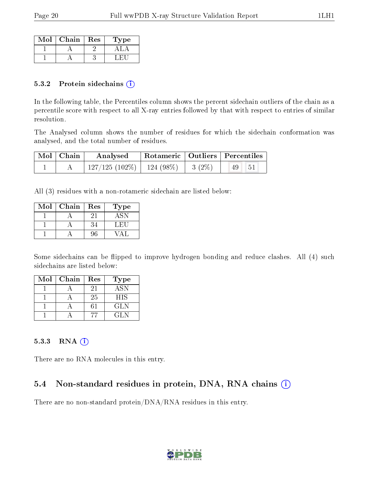| Mol | Chain | Res | 1 ype |
|-----|-------|-----|-------|
|     |       |     |       |
|     |       |     |       |

#### 5.3.2 Protein sidechains (i)

In the following table, the Percentiles column shows the percent sidechain outliers of the chain as a percentile score with respect to all X-ray entries followed by that with respect to entries of similar resolution.

The Analysed column shows the number of residues for which the sidechain conformation was analysed, and the total number of residues.

| Mol   Chain | Analysed                      |          | Rotameric   Outliers   Percentiles |  |
|-------------|-------------------------------|----------|------------------------------------|--|
|             | $127/125(102\%)$   124 (98\%) | $3(2\%)$ | 49                                 |  |

All (3) residues with a non-rotameric sidechain are listed below:

| Mol | Chain | Res | Type   |
|-----|-------|-----|--------|
|     |       |     |        |
|     |       | 34  | L. H.L |
|     |       | 96  |        |

Some sidechains can be flipped to improve hydrogen bonding and reduce clashes. All (4) such sidechains are listed below:

| Mol | Chain | Res | <b>Type</b> |
|-----|-------|-----|-------------|
|     |       | 21  | <b>ASN</b>  |
|     |       | 25  | <b>HIS</b>  |
|     |       |     | GLN.        |
|     |       |     | (11 N       |

#### 5.3.3 RNA (i)

There are no RNA molecules in this entry.

### 5.4 Non-standard residues in protein, DNA, RNA chains (i)

There are no non-standard protein/DNA/RNA residues in this entry.

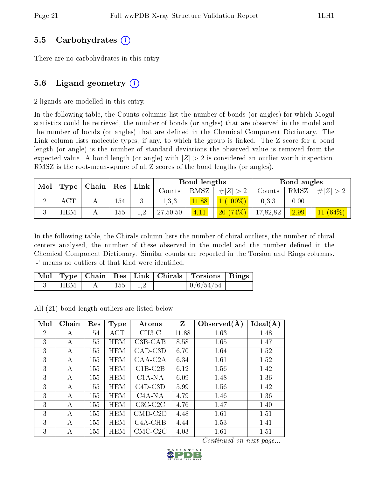#### 5.5 Carbohydrates (i)

There are no carbohydrates in this entry.

#### 5.6 Ligand geometry  $(i)$

2 ligands are modelled in this entry.

In the following table, the Counts columns list the number of bonds (or angles) for which Mogul statistics could be retrieved, the number of bonds (or angles) that are observed in the model and the number of bonds (or angles) that are defined in the Chemical Component Dictionary. The Link column lists molecule types, if any, to which the group is linked. The Z score for a bond length (or angle) is the number of standard deviations the observed value is removed from the expected value. A bond length (or angle) with  $|Z| > 2$  is considered an outlier worth inspection. RMSZ is the root-mean-square of all Z scores of the bond lengths (or angles).

| Mol |            | Chain |     | $\mathbf{Link}$ |          | Bond lengths     |           |          | Bond angles |                           |
|-----|------------|-------|-----|-----------------|----------|------------------|-----------|----------|-------------|---------------------------|
|     | Type       |       | Res |                 | Counts   | RMSZ             | H Z       | Counts   | RMSZ        | $Z \vert$<br>#            |
|     | ACT        |       | 154 |                 | 1, 3, 3  | .88 <sub>1</sub> | $(100\%)$ | 0,3,3    | 0.00        |                           |
| v   | <b>HEM</b> |       | 155 | ി               | 27,50,50 | 4.11             | 20(74%)   | 17,82,82 | 2.99        | $(64\%)$<br>$\mathbf{11}$ |

In the following table, the Chirals column lists the number of chiral outliers, the number of chiral centers analysed, the number of these observed in the model and the number defined in the Chemical Component Dictionary. Similar counts are reported in the Torsion and Rings columns. '-' means no outliers of that kind were identified.

|       |  |             |                                   | Mol   Type   Chain   Res   Link   Chirals   Torsions   Rings |                          |
|-------|--|-------------|-----------------------------------|--------------------------------------------------------------|--------------------------|
| ∣ HEM |  | $155$   1.2 | <b>Contract Contract Contract</b> | $\mid 0/6/54/54$                                             | <b>Contract Contract</b> |

All (21) bond length outliers are listed below:

| Mol            | Chain | Res | <b>Type</b> | Atoms         | Z     | Observed $(A)$ | Ideal(A) |
|----------------|-------|-----|-------------|---------------|-------|----------------|----------|
| $\overline{2}$ | А     | 154 | ACT         | $CH3-C$       | 11.88 | 1.63           | 1.48     |
| 3              | А     | 155 | <b>HEM</b>  | $C3B-CAB$     | 8.58  | 1.65           | 1.47     |
| 3              | А     | 155 | <b>HEM</b>  | CAD-C3D       | 6.70  | 1.64           | 1.52     |
| 3              | А     | 155 | <b>HEM</b>  | CAA-C2A       | 6.34  | 1.61           | 1.52     |
| 3              | А     | 155 | <b>HEM</b>  | $C1B-C2B$     | 6.12  | 1.56           | 1.42     |
| 3              | А     | 155 | <b>HEM</b>  | $C1A-NA$      | 6.09  | 1.48           | 1.36     |
| 3              | А     | 155 | <b>HEM</b>  | $C4D-C3D$     | 5.99  | 1.56           | 1.42     |
| 3              | А     | 155 | <b>HEM</b>  | $C4A-NA$      | 4.79  | 1.46           | 1.36     |
| 3              | A     | 155 | <b>HEM</b>  | $C3C-C2C$     | 4.76  | 1.47           | 1.40     |
| 3              | А     | 155 | <b>HEM</b>  | $CMD$ - $C2D$ | 4.48  | 1.61           | 1.51     |
| 3              | А     | 155 | <b>HEM</b>  | $C4A-CHB$     | 4.44  | 1.53           | 1.41     |
| 3              | А     | 155 | <b>HEM</b>  | $CMC-C2C$     | 4.03  | 1.61           | 1.51     |

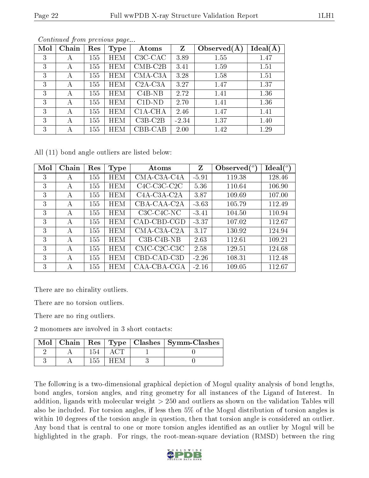| Mol | Chain | Res | Type       | Atoms     | Z       | Observed $(A)$ | $Ideal(\AA)$ |
|-----|-------|-----|------------|-----------|---------|----------------|--------------|
| 3   | А     | 155 | <b>HEM</b> | $C3C-CAC$ | 3.89    | 1.55           | 1.47         |
| 3   | А     | 155 | <b>HEM</b> | $CMB-C2B$ | 3.41    | 1.59           | 1.51         |
| 3   | А     | 155 | <b>HEM</b> | CMA-C3A   | 3.28    | 1.58           | 1.51         |
| 3   | А     | 155 | <b>HEM</b> | $C2A-C3A$ | 3.27    | 1.47           | 1.37         |
| 3   | А     | 155 | <b>HEM</b> | $C4B-NB$  | 2.72    | 1.41           | 1.36         |
| 3   | А     | 155 | <b>HEM</b> | $C1D-ND$  | 2.70    | 1.41           | 1.36         |
| 3   | А     | 155 | <b>HEM</b> | C1A-CHA   | 2.46    | 1.47           | 1.41         |
| 3   | А     | 155 | <b>HEM</b> | $C3B-C2B$ | $-2.34$ | 1.37           | 1.40         |
| 3   | А     | 155 | <b>HEM</b> | CBB-CAB   | 2.00    | 1.42           | 1.29         |

All (11) bond angle outliers are listed below:

| Mol | Chain        | Res | <b>Type</b> | Atoms                                              | Z       | Observed $(°)$ | $\text{Ideal}({}^o)$ |
|-----|--------------|-----|-------------|----------------------------------------------------|---------|----------------|----------------------|
| 3   | A            | 155 | <b>HEM</b>  | $CMA-C3A-C4A$                                      | $-5.91$ | 119.38         | 128.46               |
| 3   | $\mathsf{A}$ | 155 | <b>HEM</b>  | $C4C-C3C-C2C$                                      | 5.36    | 110.64         | 106.90               |
| 3   | $\mathsf{A}$ | 155 | <b>HEM</b>  | C <sub>4</sub> A-C <sub>3</sub> A-C <sub>2</sub> A | 3.87    | 109.69         | 107.00               |
| 3   | A            | 155 | <b>HEM</b>  | CBA-CAA-C2A                                        | $-3.63$ | 105.79         | 112.49               |
| 3   | A            | 155 | <b>HEM</b>  | $C3C-C4C-NC$                                       | $-3.41$ | 104.50         | 110.94               |
| 3   | A            | 155 | <b>HEM</b>  | CAD-CBD-CGD                                        | $-3.37$ | 107.02         | 112.67               |
| 3   | А            | 155 | <b>HEM</b>  | CMA-C3A-C2A                                        | 3.17    | 130.92         | 124.94               |
| 3   | А            | 155 | <b>HEM</b>  | $C3B-C4B-NB$                                       | 2.63    | 112.61         | 109.21               |
| 3   | А            | 155 | <b>HEM</b>  | $CMC-C2C-C3C$                                      | 2.58    | 129.51         | 124.68               |
| 3   | А            | 155 | <b>HEM</b>  | CBD-CAD-C3D                                        | $-2.26$ | 108.31         | 112.48               |
| 3   | А            | 155 | HEM         | CAA-CBA-CGA                                        | $-2.16$ | 109.05         | 112.67               |

There are no chirality outliers.

There are no torsion outliers.

There are no ring outliers.

2 monomers are involved in 3 short contacts:

| Mol |  |  | Chain   Res   Type   Clashes   Symm-Clashes |
|-----|--|--|---------------------------------------------|
|     |  |  |                                             |
|     |  |  |                                             |

The following is a two-dimensional graphical depiction of Mogul quality analysis of bond lengths, bond angles, torsion angles, and ring geometry for all instances of the Ligand of Interest. In addition, ligands with molecular weight > 250 and outliers as shown on the validation Tables will also be included. For torsion angles, if less then 5% of the Mogul distribution of torsion angles is within 10 degrees of the torsion angle in question, then that torsion angle is considered an outlier. Any bond that is central to one or more torsion angles identified as an outlier by Mogul will be highlighted in the graph. For rings, the root-mean-square deviation (RMSD) between the ring

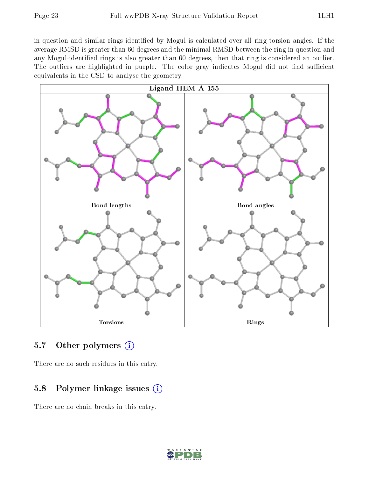in question and similar rings identified by Mogul is calculated over all ring torsion angles. If the average RMSD is greater than 60 degrees and the minimal RMSD between the ring in question and any Mogul-identified rings is also greater than 60 degrees, then that ring is considered an outlier. The outliers are highlighted in purple. The color gray indicates Mogul did not find sufficient equivalents in the CSD to analyse the geometry.



#### 5.7 [O](https://www.wwpdb.org/validation/2017/XrayValidationReportHelp#nonstandard_residues_and_ligands)ther polymers (i)

There are no such residues in this entry.

### 5.8 Polymer linkage issues  $(i)$

There are no chain breaks in this entry.

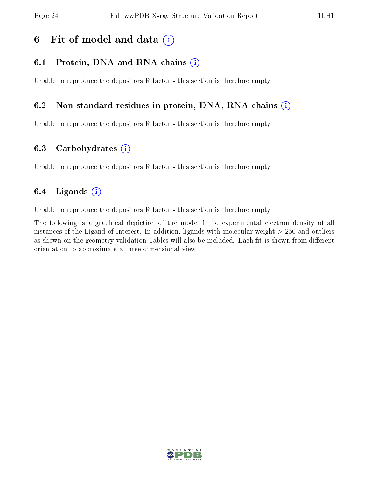# 6 Fit of model and data  $(i)$

### 6.1 Protein, DNA and RNA chains  $(i)$

Unable to reproduce the depositors R factor - this section is therefore empty.

### 6.2 Non-standard residues in protein, DNA, RNA chains (i)

Unable to reproduce the depositors R factor - this section is therefore empty.

#### 6.3 Carbohydrates (i)

Unable to reproduce the depositors R factor - this section is therefore empty.

### 6.4 Ligands  $(i)$

Unable to reproduce the depositors R factor - this section is therefore empty.

The following is a graphical depiction of the model fit to experimental electron density of all instances of the Ligand of Interest. In addition, ligands with molecular weight > 250 and outliers as shown on the geometry validation Tables will also be included. Each fit is shown from different orientation to approximate a three-dimensional view.